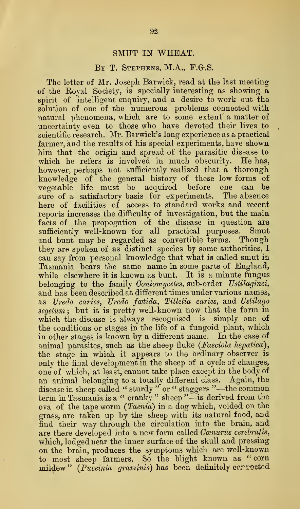## SMUT IN WHEAT.

## BY T. STEPHENS, M.A., F.G.S.

The letter of Mr. Joseph Barwick, read at the last meeting of the Eoyal Society, is specially interesting as showing a spirit of intelligent enquiry, and a desire to work out the solution of one of the numerous problems connected with natural phenomena, which are to some extent a matter of uncertainty even to those who have devoted their lives to scientific research. Mr. Barwick's long experience as a practical farmer, and the results of his special experiments, have shown him that the origin and spread of the parasitic disease to which he refers is involved in much obscurity. He has, however, perhaps not sufficiently realised that a thorough knowledge of the general history of these low forms of vegetable life must be acquired before one sure of a satisfactory basis for experiments. The absence here of facilities of access to standard works and recent reports increases the difficulty of investigation, but the main facts of the propogation of the disease in question are sufficiently well-known for all practical purposes. Smut and bunt may be regarded as convertible terms. Though they are spoken of as distinct species by some authorities, I can say from personal knowledge that what is called smut in Tasmania bears the same name in some parts of England, while elsewhere it is known as bunt. It is a minute fungus belonging to the family Coniomycetes, sub-order Ustilaginei, and has been described at different times under various names, as Uredo caries, Uredo foetida, Tilletia caries, and Ustilago segetum; but it is pretty well-known now that the form in which the disease is always recognised is simply one of the conditions or stages in the life of a fungoid plant, which in other stages is known by a different name. In the case of animal parasites, such as the sheep fluke (Fasciola hepatica), the stage in which it appears to the Ordinary observer is only the final development in the sheep of a cycle of changes, one of which, at least, cannot take place except in the body of an animal belonging to a totally different class. Again, the disease in sheep called " sturdy " or " staggers "—the common term in Tasmania is <sup>a</sup> " cranky " sheep "—is derived from the ova of the tape worm {Taenia) in a dog which, voided on the grass, are taken up by the sheep with its natural food, and find their way through the circulation into the brain, and are there developed into a new form called Cœnurus cerebratis, which, lodged near the inner surface of the skull and pressing on the brain, produces the symptoms which are well-known to most sheep farmers. So the blight known as "corn mildew" (Puceinia graminis) has been definitely cerrected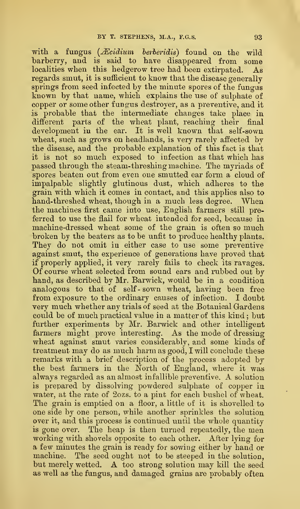with a fungus  $(Recidium \quad berberidis)$  found on the wild barberry, and is said to have disappeared from some localities when this hedgerow tree had been extirpated. As regards smut, it is sufficient to know that the disease generally springs from seed infected by the minute spores of the fungus known by that name, which explains the use of sulphate of copper or some other fungus destroyer, as a preventive, and it is probable that the intermediate changes take place in different parts of the wheat plant, reaching their final development in the ear. It is well known that self-sown wheat, such as grows on headlands, is very rarely affected by the disease, and the probable explanation of this fact is that it is not so much exposed to infection as that which has passed through the steam-threshing machine. The myriads of spores beaten out from even one smutted ear form a cloud of impalpable slightly glutinous dust, which adheres to the grain with which it comes in contact, and this applies also to hand-threshed wheat, though in a much less degree. When the machines first came into use, English farmers still preferred to use the flail for wheat intended for seed, because in machine-dressed wheat some of the grain is often so much broken by the beaters as to be unfit to produce healthy plants. They do not omit in either case to use some preventive against smut, the experience of generations have proved that if properly applied, it very rarely fails to check its ravages. Of course wheat selected from sound ears and rubbed out by hand, as described by Mr. Barwick, would be in a condition analogous to that of self- sown wheat, having been free from exposure to the ordinary causes of infection. I doubt very much whether any trials of seed at the Botanical Gardens could be of much practical value in a matter of this kind ; but further experiments by Mr. Barwick and other intelligent farmers might prove interesting. As the mode of dressing wheat against smut varies considerably, and some kinds of treatment may do as much harm as good, I will conclude these remarks with a brief description of the process adopted by the best farmers in the North of England, where it was always regarded as an almost infallible preventive. A solution is prepared by dissolving powdered sulphate of copper in water, at the rate of 2ozs. to a pint for each bushel of wheat. The grain is emptied on a floor, a little of it is shovelled to one side by one person, while another sprinkles the solution over it, and this process is continued until the whole quantity is gone over. The heap is then turned repeatedly, the men working with shovels opposite to each other. After lying for a few minutes the grain is ready for sowing either by hand or machine. The seed ought not to be steeped in the solution, but merely wetted. A too strong solution may kill the seed as well as the fungus, and damaged grains are probably often